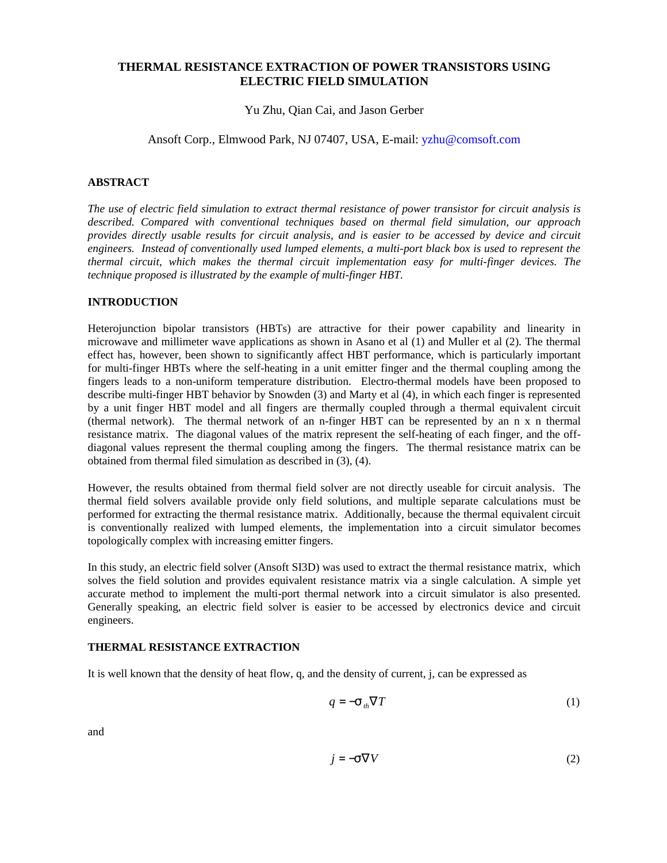## **THERMAL RESISTANCE EXTRACTION OF POWER TRANSISTORS USING ELECTRIC FIELD SIMULATION**

Yu Zhu, Qian Cai, and Jason Gerber

Ansoft Corp., Elmwood Park, NJ 07407, USA, E-mail: [yzhu@comsoft.com](mailto:yzhu@comsoft.com)

## **ABSTRACT**

*The use of electric field simulation to extract thermal resistance of power transistor for circuit analysis is described. Compared with conventional techniques based on thermal field simulation, our approach provides directly usable results for circuit analysis, and is easier to be accessed by device and circuit engineers. Instead of conventionally used lumped elements, a multi-port black box is used to represent the thermal circuit, which makes the thermal circuit implementation easy for multi-finger devices. The technique proposed is illustrated by the example of multi-finger HBT.* 

## **INTRODUCTION**

Heterojunction bipolar transistors (HBTs) are attractive for their power capability and linearity in microwave and millimeter wave applications as shown in Asano et al (1) and Muller et al (2). The thermal effect has, however, been shown to significantly affect HBT performance, which is particularly important for multi-finger HBTs where the self-heating in a unit emitter finger and the thermal coupling among the fingers leads to a non-uniform temperature distribution. Electro-thermal models have been proposed to describe multi-finger HBT behavior by Snowden (3) and Marty et al (4), in which each finger is represented by a unit finger HBT model and all fingers are thermally coupled through a thermal equivalent circuit (thermal network). The thermal network of an n-finger HBT can be represented by an n x n thermal resistance matrix. The diagonal values of the matrix represent the self-heating of each finger, and the offdiagonal values represent the thermal coupling among the fingers. The thermal resistance matrix can be obtained from thermal filed simulation as described in (3), (4).

However, the results obtained from thermal field solver are not directly useable for circuit analysis. The thermal field solvers available provide only field solutions, and multiple separate calculations must be performed for extracting the thermal resistance matrix. Additionally, because the thermal equivalent circuit is conventionally realized with lumped elements, the implementation into a circuit simulator becomes topologically complex with increasing emitter fingers.

In this study, an electric field solver (Ansoft SI3D) was used to extract the thermal resistance matrix, which solves the field solution and provides equivalent resistance matrix via a single calculation. A simple yet accurate method to implement the multi-port thermal network into a circuit simulator is also presented. Generally speaking, an electric field solver is easier to be accessed by electronics device and circuit engineers.

# **THERMAL RESISTANCE EXTRACTION**

It is well known that the density of heat flow, q, and the density of current, j, can be expressed as

$$
q = -\mathbf{S}_{th} \nabla T \tag{1}
$$

and

$$
j = -S\nabla V \tag{2}
$$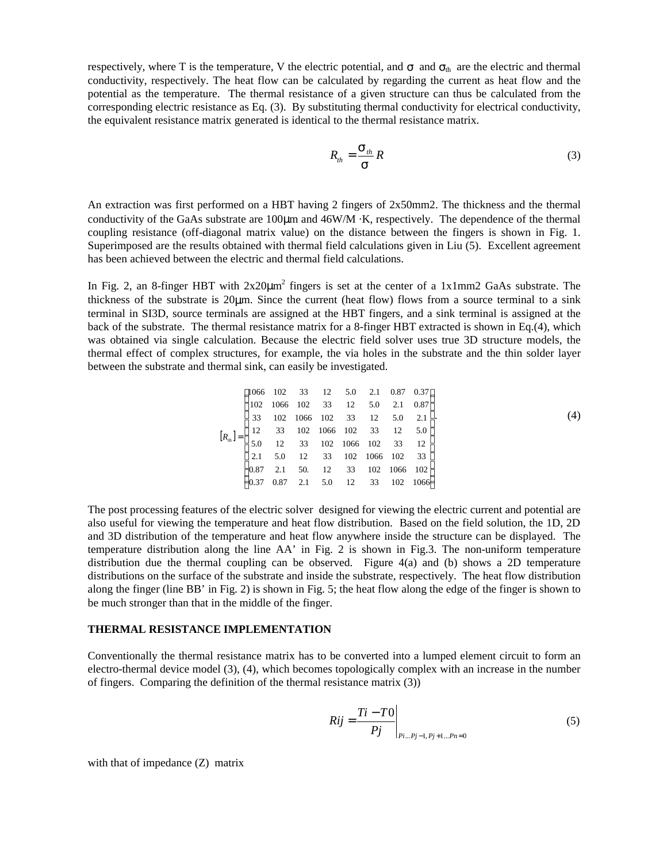respectively, where T is the temperature, V the electric potential, and  $\sigma$  and  $\sigma_{th}$  are the electric and thermal conductivity, respectively. The heat flow can be calculated by regarding the current as heat flow and the potential as the temperature. The thermal resistance of a given structure can thus be calculated from the corresponding electric resistance as Eq. (3). By substituting thermal conductivity for electrical conductivity, the equivalent resistance matrix generated is identical to the thermal resistance matrix.

$$
R_{th} = \frac{\mathbf{S}_{th}}{\mathbf{S}} R \tag{3}
$$

An extraction was first performed on a HBT having 2 fingers of 2x50mm2. The thickness and the thermal conductivity of the GaAs substrate are 100μm and 46W/M ·K, respectively. The dependence of the thermal coupling resistance (off-diagonal matrix value) on the distance between the fingers is shown in Fig. 1. Superimposed are the results obtained with thermal field calculations given in Liu (5). Excellent agreement has been achieved between the electric and thermal field calculations.

In Fig. 2, an 8-finger HBT with  $2x20\mu m^2$  fingers is set at the center of a 1x1mm2 GaAs substrate. The thickness of the substrate is 20μm. Since the current (heat flow) flows from a source terminal to a sink terminal in SI3D, source terminals are assigned at the HBT fingers, and a sink terminal is assigned at the back of the substrate. The thermal resistance matrix for a 8-finger HBT extracted is shown in Eq.(4), which was obtained via single calculation. Because the electric field solver uses true 3D structure models, the thermal effect of complex structures, for example, the via holes in the substrate and the thin solder layer between the substrate and thermal sink, can easily be investigated.

$$
\begin{bmatrix}\n1066 & 102 & 33 & 12 & 5.0 & 2.1 & 0.87 & 0.37 \\
102 & 1066 & 102 & 33 & 12 & 5.0 & 2.1 & 0.87 \\
33 & 102 & 1066 & 102 & 33 & 12 & 5.0 & 2.1 \\
12 & 33 & 102 & 1066 & 102 & 33 & 12 & 5.0 \\
5.0 & 12 & 33 & 102 & 1066 & 102 & 33 & 12 \\
2.1 & 5.0 & 12 & 33 & 102 & 1066 & 102 & 33 \\
0.87 & 2.1 & 50 & 12 & 33 & 102 & 1066 & 102 \\
0.37 & 0.87 & 2.1 & 5.0 & 12 & 33 & 102 & 1066\n\end{bmatrix}
$$
\n(4)

The post processing features of the electric solver designed for viewing the electric current and potential are also useful for viewing the temperature and heat flow distribution. Based on the field solution, the 1D, 2D and 3D distribution of the temperature and heat flow anywhere inside the structure can be displayed. The temperature distribution along the line AA' in Fig. 2 is shown in Fig.3. The non-uniform temperature distribution due the thermal coupling can be observed. Figure  $4(a)$  and (b) shows a 2D temperature distributions on the surface of the substrate and inside the substrate, respectively. The heat flow distribution along the finger (line BB' in Fig. 2) is shown in Fig. 5; the heat flow along the edge of the finger is shown to be much stronger than that in the middle of the finger.

#### **THERMAL RESISTANCE IMPLEMENTATION**

Conventionally the thermal resistance matrix has to be converted into a lumped element circuit to form an electro-thermal device model (3), (4), which becomes topologically complex with an increase in the number of fingers. Comparing the definition of the thermal resistance matrix (3))

$$
Rij = \frac{Ti - T0}{Pj} \bigg|_{Pi...Pj-1, Pj+1...Pn=0}
$$
 (5)

with that of impedance (Z) matrix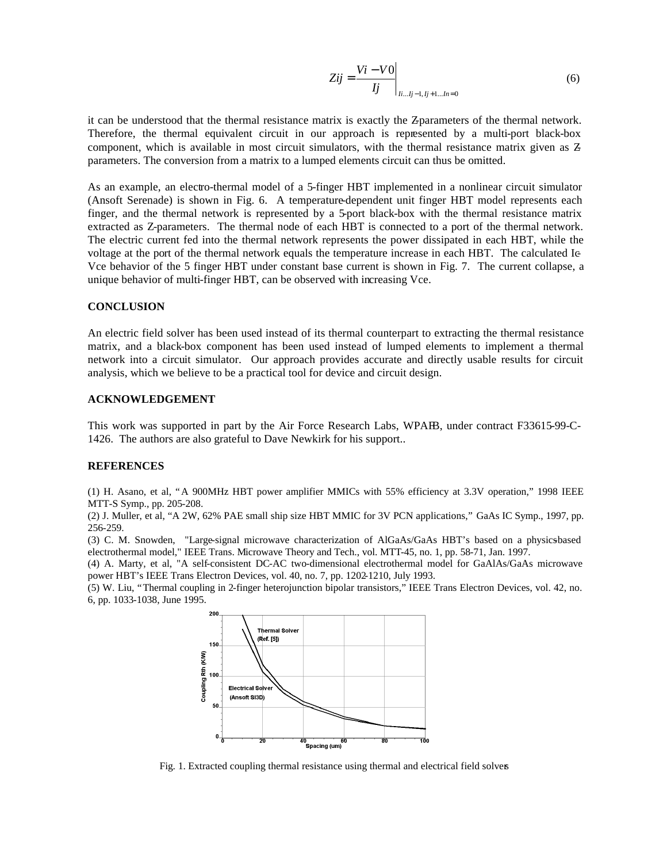$$
Zij = \frac{Vi - V0}{Ij} \bigg|_{Ii...Ij-1, Ij+1...In=0}
$$
 (6)

it can be understood that the thermal resistance matrix is exactly the Z-parameters of the thermal network. Therefore, the thermal equivalent circuit in our approach is represented by a multi-port black-box component, which is available in most circuit simulators, with the thermal resistance matrix given as Zparameters. The conversion from a matrix to a lumped elements circuit can thus be omitted.

As an example, an electro-thermal model of a 5-finger HBT implemented in a nonlinear circuit simulator (Ansoft Serenade) is shown in Fig. 6. A temperature-dependent unit finger HBT model represents each finger, and the thermal network is represented by a 5-port black-box with the thermal resistance matrix extracted as Z-parameters. The thermal node of each HBT is connected to a port of the thermal network. The electric current fed into the thermal network represents the power dissipated in each HBT, while the voltage at the port of the thermal network equals the temperature increase in each HBT. The calculated Ic-Vce behavior of the 5 finger HBT under constant base current is shown in Fig. 7. The current collapse, a unique behavior of multi-finger HBT, can be observed with increasing Vce.

## **CONCLUSION**

An electric field solver has been used instead of its thermal counterpart to extracting the thermal resistance matrix, and a black-box component has been used instead of lumped elements to implement a thermal network into a circuit simulator. Our approach provides accurate and directly usable results for circuit analysis, which we believe to be a practical tool for device and circuit design.

#### **ACKNOWLEDGEMENT**

This work was supported in part by the Air Force Research Labs, WPAFB, under contract F33615-99-C-1426. The authors are also grateful to Dave Newkirk for his support..

#### **REFERENCES**

(1) H. Asano, et al, "A 900MHz HBT power amplifier MMICs with 55% efficiency at 3.3V operation," 1998 IEEE MTT-S Symp., pp. 205-208.

(2) J. Muller, et al, "A 2W, 62% PAE small ship size HBT MMIC for 3V PCN applications," GaAs IC Symp., 1997, pp. 256-259.

(3) C. M. Snowden, "Large-signal microwave characterization of AlGaAs/GaAs HBT's based on a physics-based electrothermal model," IEEE Trans. Microwave Theory and Tech., vol. MTT-45, no. 1, pp. 58-71, Jan. 1997.

(4) A. Marty, et al, "A self-consistent DC-AC two-dimensional electrothermal model for GaAlAs/GaAs microwave power HBT's IEEE Trans Electron Devices, vol. 40, no. 7, pp. 1202-1210, July 1993.

(5) W. Liu, "Thermal coupling in 2-finger heterojunction bipolar transistors," IEEE Trans Electron Devices, vol. 42, no. 6, pp. 1033-1038, June 1995.



Fig. 1. Extracted coupling thermal resistance using thermal and electrical field solvers